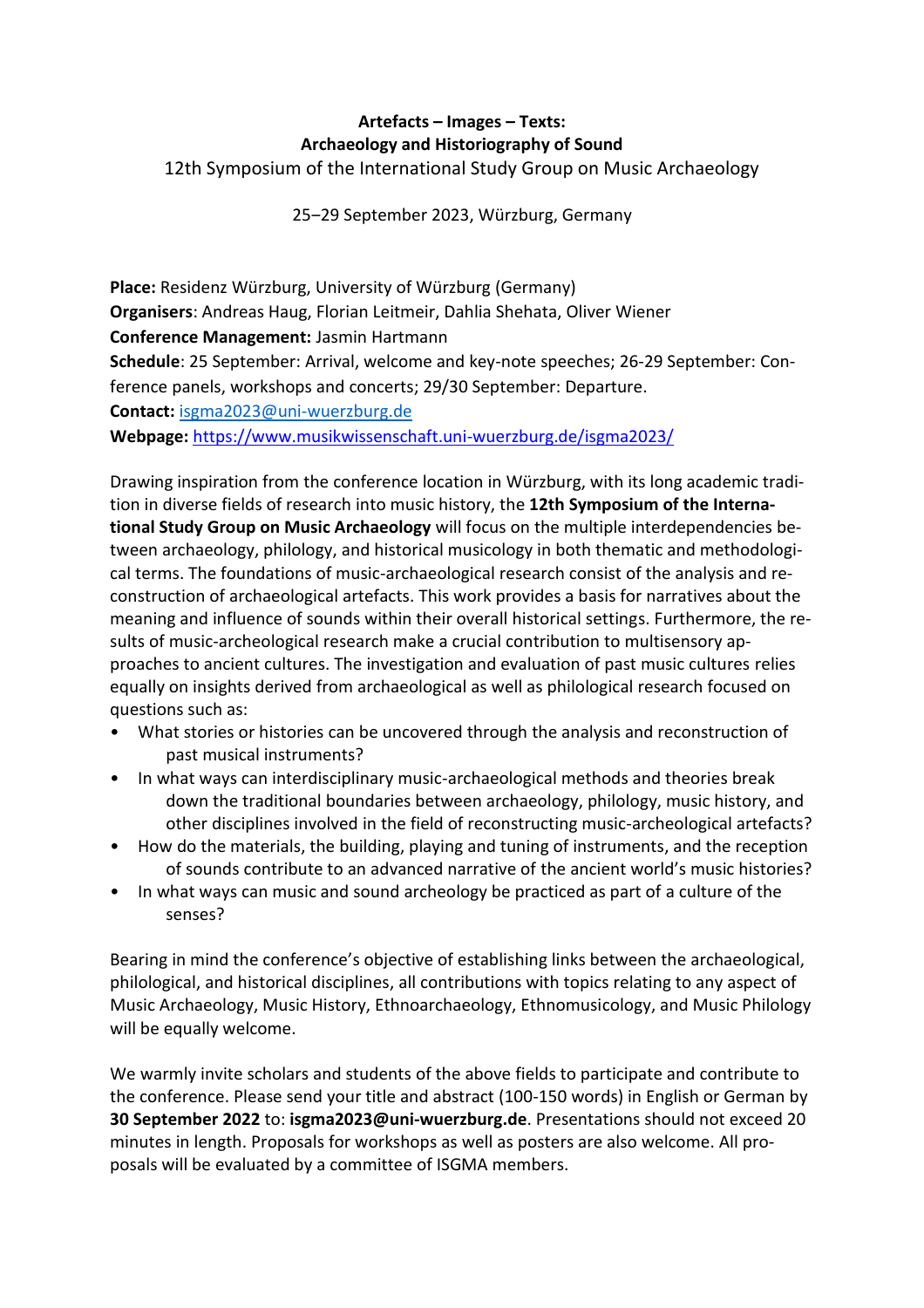## **Artefacts – Images – Texts: Archaeology and Historiography of Sound** 12th Symposium of the International Study Group on Music Archaeology

25‒29 September 2023, Würzburg, Germany

**Place:** Residenz Würzburg, University of Würzburg (Germany) **Organisers**: Andreas Haug, Florian Leitmeir, Dahlia Shehata, Oliver Wiener **Conference Management:** Jasmin Hartmann **Schedule**: 25 September: Arrival, welcome and key-note speeches; 26-29 September: Conference panels, workshops and concerts; 29/30 September: Departure. **Contact:** [isgma2023@uni-wuerzburg.de](mailto:isgma2023@uni-wuerzburg.de)

**Webpage:** <https://www.musikwissenschaft.uni-wuerzburg.de/isgma2023/>

Drawing inspiration from the conference location in Würzburg, with its long academic tradition in diverse fields of research into music history, the **12th Symposium of the International Study Group on Music Archaeology** will focus on the multiple interdependencies between archaeology, philology, and historical musicology in both thematic and methodological terms. The foundations of music-archaeological research consist of the analysis and reconstruction of archaeological artefacts. This work provides a basis for narratives about the meaning and influence of sounds within their overall historical settings. Furthermore, the results of music-archeological research make a crucial contribution to multisensory approaches to ancient cultures. The investigation and evaluation of past music cultures relies equally on insights derived from archaeological as well as philological research focused on questions such as:

- What stories or histories can be uncovered through the analysis and reconstruction of past musical instruments?
- In what ways can interdisciplinary music-archaeological methods and theories break down the traditional boundaries between archaeology, philology, music history, and other disciplines involved in the field of reconstructing music-archeological artefacts?
- How do the materials, the building, playing and tuning of instruments, and the reception of sounds contribute to an advanced narrative of the ancient world's music histories?
- In what ways can music and sound archeology be practiced as part of a culture of the senses?

Bearing in mind the conference's objective of establishing links between the archaeological, philological, and historical disciplines, all contributions with topics relating to any aspect of Music Archaeology, Music History, Ethnoarchaeology, Ethnomusicology, and Music Philology will be equally welcome.

We warmly invite scholars and students of the above fields to participate and contribute to the conference. Please send your title and abstract (100-150 words) in English or German by **30 September 2022** to: **isgma2023@uni-wuerzburg.de**. Presentations should not exceed 20 minutes in length. Proposals for workshops as well as posters are also welcome. All proposals will be evaluated by a committee of ISGMA members.